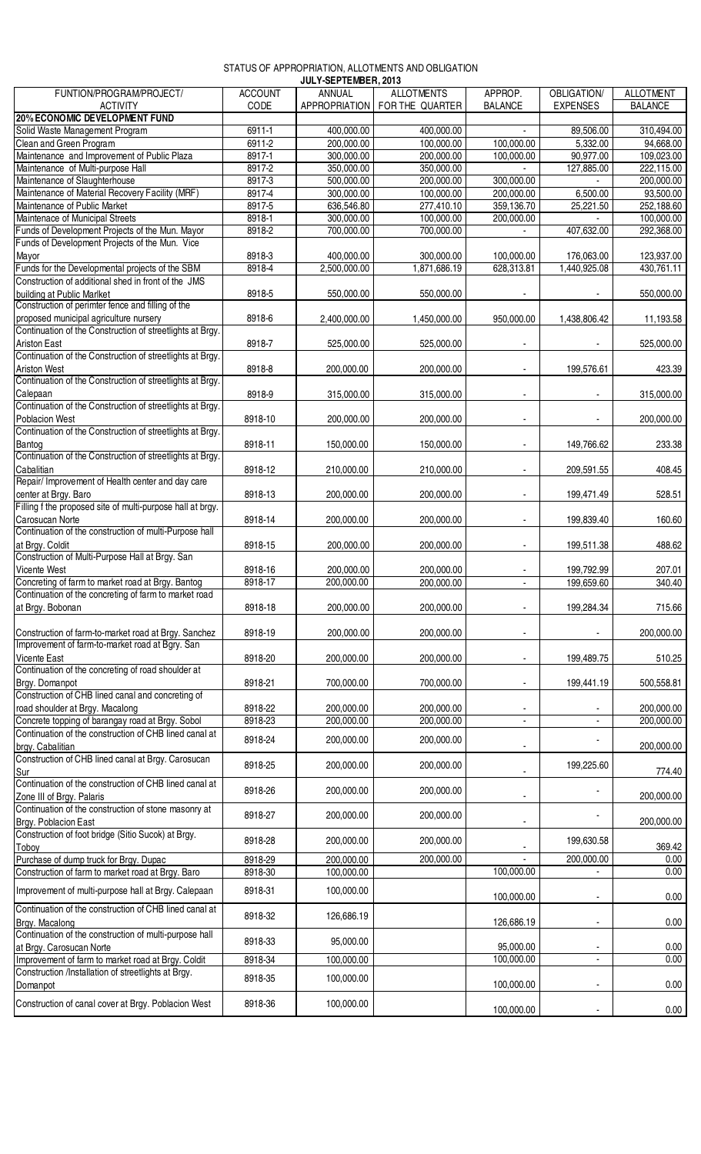## STATUS OF APPROPRIATION, ALLOTMENTS AND OBLIGATION

|                                                                                    |                | JULY-SEPTEMBER, 2013 |                                 |                |                    |                  |
|------------------------------------------------------------------------------------|----------------|----------------------|---------------------------------|----------------|--------------------|------------------|
| FUNTION/PROGRAM/PROJECT/                                                           | <b>ACCOUNT</b> | ANNUAL               | <b>ALLOTMENTS</b>               | APPROP.        | <b>OBLIGATION/</b> | <b>ALLOTMENT</b> |
| <b>ACTIVITY</b>                                                                    | CODE           |                      | APPROPRIATION   FOR THE QUARTER | <b>BALANCE</b> | <b>EXPENSES</b>    | <b>BALANCE</b>   |
| <b>20% ECONOMIC DEVELOPMENT FUND</b>                                               |                |                      |                                 |                |                    |                  |
| Solid Waste Management Program                                                     | $6911-1$       | 400,000.00           | 400,000.00                      |                | 89,506.00          | 310,494.00       |
| Clean and Green Program                                                            | $6911 - 2$     | 200,000.00           | 100,000.00                      | 100,000.00     | 5,332.00           | 94,668.00        |
| Maintenance and Improvement of Public Plaza                                        | $8917 - 1$     | 300,000.00           | 200,000.00                      | 100,000.00     | 90,977.00          | 109,023.00       |
| Maintenance of Multi-purpose Hall                                                  | 8917-2         | 350,000.00           | 350,000.00                      |                | 127,885.00         | 222,115.00       |
| Maintenance of Slaughterhouse                                                      | 8917-3         | 500,000.00           | 200,000.00                      | 300,000.00     |                    | 200,000.00       |
| Maintenance of Material Recovery Facility (MRF)                                    | 8917-4         | 300,000.00           | 100,000.00                      | 200,000.00     | 6,500.00           | 93,500.00        |
| Maintenance of Public Market                                                       | 8917-5         | 636,546.80           | 277,410.10                      | 359,136.70     | 25,221.50          | 252,188.60       |
| Maintenace of Municipal Streets                                                    | 8918-1         | 300,000.00           | 100,000.00                      | 200,000.00     |                    | 100,000.00       |
| Funds of Development Projects of the Mun. Mayor                                    | 8918-2         | 700,000.00           | 700,000.00                      |                | 407,632.00         | 292,368.00       |
| Funds of Development Projects of the Mun. Vice                                     |                |                      |                                 |                |                    |                  |
|                                                                                    | 8918-3         |                      |                                 |                |                    | 123,937.00       |
| Mayor<br>Funds for the Developmental projects of the SBM                           |                | 400,000.00           | 300,000.00                      | 100,000.00     | 176,063.00         |                  |
|                                                                                    | 8918-4         | 2,500,000.00         | 1,871,686.19                    | 628,313.81     | 1,440,925.08       | 430,761.11       |
| Construction of additional shed in front of the JMS                                |                |                      |                                 |                |                    |                  |
| building at Public Marlket                                                         | 8918-5         | 550,000.00           | 550,000.00                      |                |                    | 550,000.00       |
| Construction of perimter fence and filling of the                                  |                |                      |                                 |                |                    |                  |
| proposed municipal agriculture nursery                                             | 8918-6         | 2,400,000.00         | 1,450,000.00                    | 950,000.00     | 1,438,806.42       | 11,193.58        |
| Continuation of the Construction of streetlights at Brgy.                          |                |                      |                                 |                |                    |                  |
| <b>Ariston East</b>                                                                | 8918-7         | 525,000.00           | 525,000.00                      |                |                    | 525,000.00       |
| Continuation of the Construction of streetlights at Brgy.                          |                |                      |                                 |                |                    |                  |
| <b>Ariston West</b>                                                                | 8918-8         | 200,000.00           | 200.000.00                      |                | 199,576.61         | 423.39           |
| Continuation of the Construction of streetlights at Brgy.                          |                |                      |                                 |                |                    |                  |
|                                                                                    | 8918-9         | 315,000.00           | 315,000.00                      |                |                    | 315,000.00       |
| Calepaan<br>Continuation of the Construction of streetlights at Brgy.              |                |                      |                                 |                |                    |                  |
| <b>Poblacion West</b>                                                              | 8918-10        | 200,000.00           | 200,000.00                      |                |                    | 200,000.00       |
| Continuation of the Construction of streetlights at Brgy.                          |                |                      |                                 |                |                    |                  |
| Bantog                                                                             | 8918-11        | 150,000.00           | 150,000.00                      |                | 149,766.62         | 233.38           |
| Continuation of the Construction of streetlights at Brgy.                          |                |                      |                                 |                |                    |                  |
|                                                                                    | 8918-12        | 210,000.00           | 210,000.00                      |                | 209,591.55         | 408.45           |
| Cabalitian<br>Repair/Improvement of Health center and day care                     |                |                      |                                 |                |                    |                  |
|                                                                                    | 8918-13        | 200,000.00           | 200,000.00                      |                | 199,471.49         | 528.51           |
| center at Brgy. Baro<br>Filling f the proposed site of multi-purpose hall at brgy. |                |                      |                                 |                |                    |                  |
| Carosucan Norte                                                                    |                |                      |                                 |                |                    |                  |
| Continuation of the construction of multi-Purpose hall                             | 8918-14        | 200,000.00           | 200,000.00                      |                | 199,839.40         | 160.60           |
|                                                                                    |                |                      |                                 |                |                    |                  |
| at Brgy. Coldit<br>Construction of Multi-Purpose Hall at Brgy. San                 | 8918-15        | 200,000.00           | 200,000.00                      |                | 199,511.38         | 488.62           |
|                                                                                    |                |                      |                                 |                |                    |                  |
| Vicente West                                                                       | 8918-16        | 200,000.00           | 200,000.00                      |                | 199,792.99         | 207.01           |
| Concreting of farm to market road at Brgy. Bantog                                  | 8918-17        | 200,000.00           | 200,000.00                      | $\mathbf{r}$   | 199,659.60         | 340.40           |
| Continuation of the concreting of farm to market road                              |                |                      |                                 |                |                    |                  |
| at Brgy. Bobonan                                                                   | 8918-18        | 200,000.00           | 200,000.00                      |                | 199,284.34         | 715.66           |
|                                                                                    |                |                      |                                 |                |                    |                  |
| Construction of farm-to-market road at Brgy. Sanchez                               | 8918-19        | 200,000.00           | 200,000.00                      |                |                    | 200,000.00       |
| Improvement of farm-to-market road at Bgry. San                                    |                |                      |                                 |                |                    |                  |
| Vicente East                                                                       | 8918-20        | 200,000.00           | 200,000.00                      |                | 199,489.75         | 510.25           |
| Continuation of the concreting of road shoulder at                                 |                |                      |                                 |                |                    |                  |
| Brgy. Domanpot                                                                     | 8918-21        | 700,000.00           | 700,000.00                      |                | 199,441.19         | 500,558.81       |
| Construction of CHB lined canal and concreting of                                  |                |                      |                                 |                |                    |                  |
| road shoulder at Brgy. Macalong                                                    | 8918-22        | 200,000.00           | 200,000.00                      |                |                    | 200,000.00       |
| Concrete topping of barangay road at Brgy. Sobol                                   | 8918-23        | 200,000.00           | 200,000.00                      |                |                    | 200,000.00       |
| Continuation of the construction of CHB lined canal at                             |                |                      |                                 |                |                    |                  |
| brgy. Cabalitian                                                                   | 8918-24        | 200,000.00           | 200,000.00                      |                |                    | 200,000.00       |
| Construction of CHB lined canal at Brgy. Carosucan                                 |                |                      |                                 |                |                    |                  |
|                                                                                    | 8918-25        | 200,000.00           | 200,000.00                      |                | 199,225.60         | 774.40           |
|                                                                                    |                |                      |                                 |                |                    |                  |
| Sur<br>Continuation of the construction of CHB lined canal at                      | 8918-26        | 200,000.00           | 200,000.00                      |                |                    |                  |
| Zone III of Brgy. Palaris                                                          |                |                      |                                 |                |                    | 200,000.00       |
| Continuation of the construction of stone masonry at                               | 8918-27        | 200,000.00           | 200,000.00                      |                |                    |                  |
| Brgy. Poblacion East                                                               |                |                      |                                 |                |                    | 200,000.00       |
| Construction of foot bridge (Sitio Sucok) at Brgy.                                 | 8918-28        | 200,000.00           | 200,000.00                      |                | 199,630.58         |                  |
| Toboy                                                                              |                |                      |                                 |                |                    | 369.42           |
| Purchase of dump truck for Brgy. Dupac                                             | 8918-29        | 200,000.00           | 200,000.00                      |                | 200,000.00         | 0.00             |
| Construction of farm to market road at Brgy. Baro                                  | 8918-30        | 100,000.00           |                                 | 100,000.00     |                    | 0.00             |
|                                                                                    |                |                      |                                 |                |                    |                  |
| Improvement of multi-purpose hall at Brgy. Calepaan                                | 8918-31        | 100,000.00           |                                 | 100,000.00     |                    | 0.00             |
| Continuation of the construction of CHB lined canal at                             |                |                      |                                 |                |                    |                  |
|                                                                                    | 8918-32        | 126,686.19           |                                 | 126,686.19     |                    | 0.00             |
| Brgy. Macalong<br>Continuation of the construction of multi-purpose hall           |                |                      |                                 |                |                    |                  |
| at Brgy. Carosucan Norte                                                           | 8918-33        | 95,000.00            |                                 | 95,000.00      |                    | 0.00             |
| Improvement of farm to market road at Brgy. Coldit                                 | 8918-34        | 100,000.00           |                                 | 100,000.00     |                    | 0.00             |
| Construction /Installation of streetlights at Brgy.                                |                |                      |                                 |                |                    |                  |
| Domanpot                                                                           | 8918-35        | 100,000.00           |                                 | 100,000.00     |                    | 0.00             |
|                                                                                    |                |                      |                                 |                |                    |                  |
| Construction of canal cover at Brgy. Poblacion West                                | 8918-36        | 100,000.00           |                                 | 100,000.00     |                    | 0.00             |
|                                                                                    |                |                      |                                 |                |                    |                  |